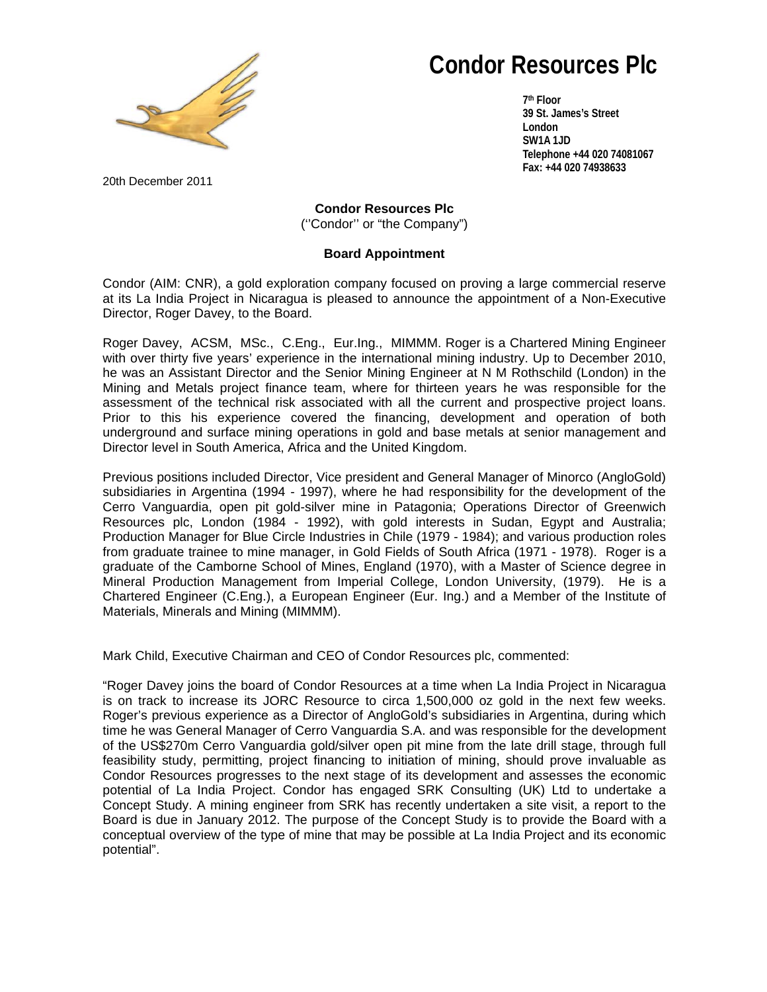

# **Condor Resources Plc**

**7th Floor 39 St. James's Street London SW1A 1JD Telephone +44 020 74081067 Fax: +44 020 74938633** 

20th December 2011

**Condor Resources Plc**  (''Condor'' or "the Company")

# **Board Appointment**

Condor (AIM: CNR), a gold exploration company focused on proving a large commercial reserve at its La India Project in Nicaragua is pleased to announce the appointment of a Non-Executive Director, Roger Davey, to the Board.

Roger Davey, ACSM, MSc., C.Eng., Eur.Ing., MIMMM. Roger is a Chartered Mining Engineer with over thirty five years' experience in the international mining industry. Up to December 2010, he was an Assistant Director and the Senior Mining Engineer at N M Rothschild (London) in the Mining and Metals project finance team, where for thirteen years he was responsible for the assessment of the technical risk associated with all the current and prospective project loans. Prior to this his experience covered the financing, development and operation of both underground and surface mining operations in gold and base metals at senior management and Director level in South America, Africa and the United Kingdom.

Previous positions included Director, Vice president and General Manager of Minorco (AngloGold) subsidiaries in Argentina (1994 - 1997), where he had responsibility for the development of the Cerro Vanguardia, open pit gold-silver mine in Patagonia; Operations Director of Greenwich Resources plc, London (1984 - 1992), with gold interests in Sudan, Egypt and Australia; Production Manager for Blue Circle Industries in Chile (1979 - 1984); and various production roles from graduate trainee to mine manager, in Gold Fields of South Africa (1971 - 1978). Roger is a graduate of the Camborne School of Mines, England (1970), with a Master of Science degree in Mineral Production Management from Imperial College, London University, (1979). He is a Chartered Engineer (C.Eng.), a European Engineer (Eur. Ing.) and a Member of the Institute of Materials, Minerals and Mining (MIMMM).

Mark Child, Executive Chairman and CEO of Condor Resources plc, commented:

"Roger Davey joins the board of Condor Resources at a time when La India Project in Nicaragua is on track to increase its JORC Resource to circa 1,500,000 oz gold in the next few weeks. Roger's previous experience as a Director of AngloGold's subsidiaries in Argentina, during which time he was General Manager of Cerro Vanguardia S.A. and was responsible for the development of the US\$270m Cerro Vanguardia gold/silver open pit mine from the late drill stage, through full feasibility study, permitting, project financing to initiation of mining, should prove invaluable as Condor Resources progresses to the next stage of its development and assesses the economic potential of La India Project. Condor has engaged SRK Consulting (UK) Ltd to undertake a Concept Study. A mining engineer from SRK has recently undertaken a site visit, a report to the Board is due in January 2012. The purpose of the Concept Study is to provide the Board with a conceptual overview of the type of mine that may be possible at La India Project and its economic potential".